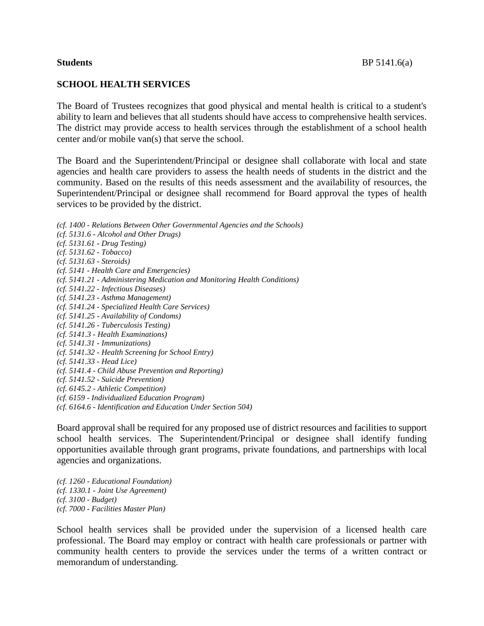### **SCHOOL HEALTH SERVICES**

The Board of Trustees recognizes that good physical and mental health is critical to a student's ability to learn and believes that all students should have access to comprehensive health services. The district may provide access to health services through the establishment of a school health center and/or mobile van(s) that serve the school.

The Board and the Superintendent/Principal or designee shall collaborate with local and state agencies and health care providers to assess the health needs of students in the district and the community. Based on the results of this needs assessment and the availability of resources, the Superintendent/Principal or designee shall recommend for Board approval the types of health services to be provided by the district.

*(cf. 1400 - Relations Between Other Governmental Agencies and the Schools) (cf. 5131.6 - Alcohol and Other Drugs) (cf. 5131.61 - Drug Testing) (cf. 5131.62 - Tobacco) (cf. 5131.63 - Steroids) (cf. 5141 - Health Care and Emergencies) (cf. 5141.21 - Administering Medication and Monitoring Health Conditions) (cf. 5141.22 - Infectious Diseases) (cf. 5141.23 - Asthma Management) (cf. 5141.24 - Specialized Health Care Services) (cf. 5141.25 - Availability of Condoms) (cf. 5141.26 - Tuberculosis Testing) (cf. 5141.3 - Health Examinations) (cf. 5141.31 - Immunizations) (cf. 5141.32 - Health Screening for School Entry) (cf. 5141.33 - Head Lice) (cf. 5141.4 - Child Abuse Prevention and Reporting) (cf. 5141.52 - Suicide Prevention) (cf. 6145.2 - Athletic Competition) (cf. 6159 - Individualized Education Program) (cf. 6164.6 - Identification and Education Under Section 504)*

Board approval shall be required for any proposed use of district resources and facilities to support school health services. The Superintendent/Principal or designee shall identify funding opportunities available through grant programs, private foundations, and partnerships with local agencies and organizations.

*(cf. 1260 - Educational Foundation) (cf. 1330.1 - Joint Use Agreement) (cf. 3100 - Budget) (cf. 7000 - Facilities Master Plan)*

School health services shall be provided under the supervision of a licensed health care professional. The Board may employ or contract with health care professionals or partner with community health centers to provide the services under the terms of a written contract or memorandum of understanding.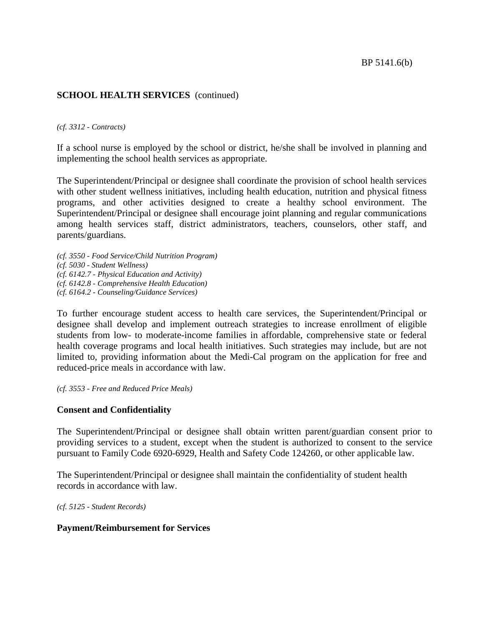*(cf. 3312 - Contracts)*

If a school nurse is employed by the school or district, he/she shall be involved in planning and implementing the school health services as appropriate.

The Superintendent/Principal or designee shall coordinate the provision of school health services with other student wellness initiatives, including health education, nutrition and physical fitness programs, and other activities designed to create a healthy school environment. The Superintendent/Principal or designee shall encourage joint planning and regular communications among health services staff, district administrators, teachers, counselors, other staff, and parents/guardians.

*(cf. 3550 - Food Service/Child Nutrition Program) (cf. 5030 - Student Wellness) (cf. 6142.7 - Physical Education and Activity) (cf. 6142.8 - Comprehensive Health Education) (cf. 6164.2 - Counseling/Guidance Services)*

To further encourage student access to health care services, the Superintendent/Principal or designee shall develop and implement outreach strategies to increase enrollment of eligible students from low- to moderate-income families in affordable, comprehensive state or federal health coverage programs and local health initiatives. Such strategies may include, but are not limited to, providing information about the Medi-Cal program on the application for free and reduced-price meals in accordance with law.

*(cf. 3553 - Free and Reduced Price Meals)*

# **Consent and Confidentiality**

The Superintendent/Principal or designee shall obtain written parent/guardian consent prior to providing services to a student, except when the student is authorized to consent to the service pursuant to Family Code 6920-6929, Health and Safety Code 124260, or other applicable law.

The Superintendent/Principal or designee shall maintain the confidentiality of student health records in accordance with law.

*(cf. 5125 - Student Records)*

#### **Payment/Reimbursement for Services**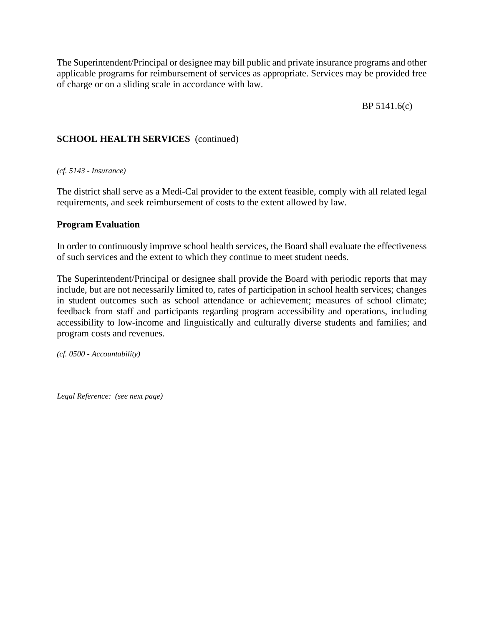The Superintendent/Principal or designee may bill public and private insurance programs and other applicable programs for reimbursement of services as appropriate. Services may be provided free of charge or on a sliding scale in accordance with law.

BP 5141.6(c)

# **SCHOOL HEALTH SERVICES** (continued)

*(cf. 5143 - Insurance)*

The district shall serve as a Medi-Cal provider to the extent feasible, comply with all related legal requirements, and seek reimbursement of costs to the extent allowed by law.

# **Program Evaluation**

In order to continuously improve school health services, the Board shall evaluate the effectiveness of such services and the extent to which they continue to meet student needs.

The Superintendent/Principal or designee shall provide the Board with periodic reports that may include, but are not necessarily limited to, rates of participation in school health services; changes in student outcomes such as school attendance or achievement; measures of school climate; feedback from staff and participants regarding program accessibility and operations, including accessibility to low-income and linguistically and culturally diverse students and families; and program costs and revenues.

*(cf. 0500 - Accountability)*

*Legal Reference: (see next page)*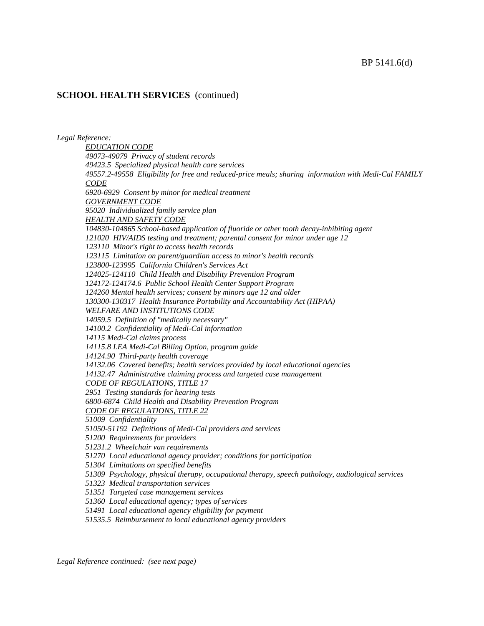*Legal Reference:*

*EDUCATION CODE 49073-49079 Privacy of student records 49423.5 Specialized physical health care services 49557.2-49558 Eligibility for free and reduced-price meals; sharing information with Medi-Cal FAMILY CODE 6920-6929 Consent by minor for medical treatment GOVERNMENT CODE 95020 Individualized family service plan HEALTH AND SAFETY CODE 104830-104865 School-based application of fluoride or other tooth decay-inhibiting agent 121020 HIV/AIDS testing and treatment; parental consent for minor under age 12 123110 Minor's right to access health records 123115 Limitation on parent/guardian access to minor's health records 123800-123995 California Children's Services Act 124025-124110 Child Health and Disability Prevention Program 124172-124174.6 Public School Health Center Support Program 124260 Mental health services; consent by minors age 12 and older 130300-130317 Health Insurance Portability and Accountability Act (HIPAA) WELFARE AND INSTITUTIONS CODE 14059.5 Definition of "medically necessary" 14100.2 Confidentiality of Medi-Cal information 14115 Medi-Cal claims process 14115.8 LEA Medi-Cal Billing Option, program guide 14124.90 Third-party health coverage 14132.06 Covered benefits; health services provided by local educational agencies 14132.47 Administrative claiming process and targeted case management CODE OF REGULATIONS, TITLE 17 2951 Testing standards for hearing tests 6800-6874 Child Health and Disability Prevention Program CODE OF REGULATIONS, TITLE 22 51009 Confidentiality 51050-51192 Definitions of Medi-Cal providers and services 51200 Requirements for providers 51231.2 Wheelchair van requirements 51270 Local educational agency provider; conditions for participation 51304 Limitations on specified benefits 51309 Psychology, physical therapy, occupational therapy, speech pathology, audiological services 51323 Medical transportation services 51351 Targeted case management services 51360 Local educational agency; types of services 51491 Local educational agency eligibility for payment 51535.5 Reimbursement to local educational agency providers*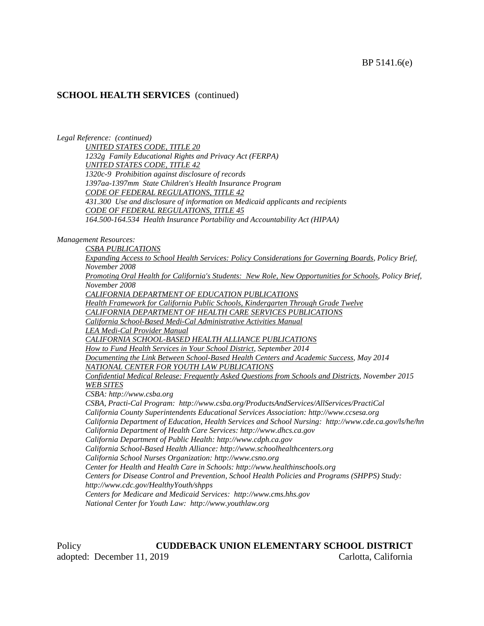*Legal Reference: (continued)*

*UNITED STATES CODE, TITLE 20 1232g Family Educational Rights and Privacy Act (FERPA) UNITED STATES CODE, TITLE 42 1320c-9 Prohibition against disclosure of records 1397aa-1397mm State Children's Health Insurance Program CODE OF FEDERAL REGULATIONS, TITLE 42 431.300 Use and disclosure of information on Medicaid applicants and recipients CODE OF FEDERAL REGULATIONS, TITLE 45 164.500-164.534 Health Insurance Portability and Accountability Act (HIPAA)*

*Management Resources:*

*CSBA PUBLICATIONS Expanding Access to School Health Services: Policy Considerations for Governing Boards, Policy Brief, November 2008 Promoting Oral Health for California's Students: New Role, New Opportunities for Schools, Policy Brief, November 2008 CALIFORNIA DEPARTMENT OF EDUCATION PUBLICATIONS Health Framework for California Public Schools, Kindergarten Through Grade Twelve CALIFORNIA DEPARTMENT OF HEALTH CARE SERVICES PUBLICATIONS California School-Based Medi-Cal Administrative Activities Manual LEA Medi-Cal Provider Manual CALIFORNIA SCHOOL-BASED HEALTH ALLIANCE PUBLICATIONS How to Fund Health Services in Your School District, September 2014 Documenting the Link Between School-Based Health Centers and Academic Success, May 2014 NATIONAL CENTER FOR YOUTH LAW PUBLICATIONS Confidential Medical Release: Frequently Asked Questions from Schools and Districts, November 2015 WEB SITES CSBA: http://www.csba.org CSBA, Practi-Cal Program: http://www.csba.org/ProductsAndServices/AllServices/PractiCal California County Superintendents Educational Services Association: http://www.ccsesa.org California Department of Education, Health Services and School Nursing: http://www.cde.ca.gov/ls/he/hn California Department of Health Care Services: http://www.dhcs.ca.gov California Department of Public Health: http://www.cdph.ca.gov California School-Based Health Alliance: http://www.schoolhealthcenters.org California School Nurses Organization: http://www.csno.org Center for Health and Health Care in Schools: http://www.healthinschools.org Centers for Disease Control and Prevention, School Health Policies and Programs (SHPPS) Study: http://www.cdc.gov/HealthyYouth/shpps Centers for Medicare and Medicaid Services: http://www.cms.hhs.gov National Center for Youth Law: http://www.youthlaw.org*

Policy **CUDDEBACK UNION ELEMENTARY SCHOOL DISTRICT** adopted: December 11, 2019 Carlotta, California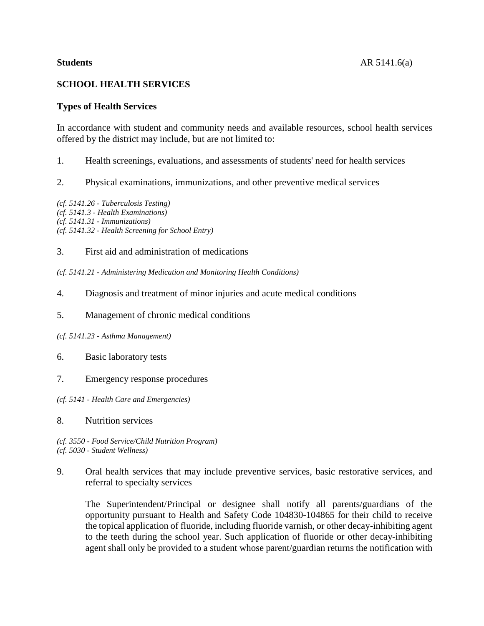# **SCHOOL HEALTH SERVICES**

# **Types of Health Services**

In accordance with student and community needs and available resources, school health services offered by the district may include, but are not limited to:

- 1. Health screenings, evaluations, and assessments of students' need for health services
- 2. Physical examinations, immunizations, and other preventive medical services

*(cf. 5141.26 - Tuberculosis Testing) (cf. 5141.3 - Health Examinations) (cf. 5141.31 - Immunizations) (cf. 5141.32 - Health Screening for School Entry)*

#### 3. First aid and administration of medications

*(cf. 5141.21 - Administering Medication and Monitoring Health Conditions)*

- 4. Diagnosis and treatment of minor injuries and acute medical conditions
- 5. Management of chronic medical conditions
- *(cf. 5141.23 - Asthma Management)*
- 6. Basic laboratory tests
- 7. Emergency response procedures
- *(cf. 5141 - Health Care and Emergencies)*
- 8. Nutrition services

*(cf. 3550 - Food Service/Child Nutrition Program) (cf. 5030 - Student Wellness)*

9. Oral health services that may include preventive services, basic restorative services, and referral to specialty services

The Superintendent/Principal or designee shall notify all parents/guardians of the opportunity pursuant to Health and Safety Code 104830-104865 for their child to receive the topical application of fluoride, including fluoride varnish, or other decay-inhibiting agent to the teeth during the school year. Such application of fluoride or other decay-inhibiting agent shall only be provided to a student whose parent/guardian returns the notification with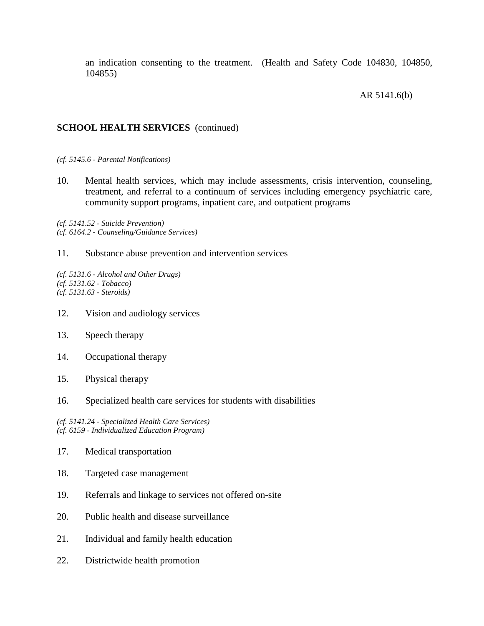an indication consenting to the treatment. (Health and Safety Code 104830, 104850, 104855)

#### AR 5141.6(b)

# **SCHOOL HEALTH SERVICES** (continued)

*(cf. 5145.6 - Parental Notifications)*

10. Mental health services, which may include assessments, crisis intervention, counseling, treatment, and referral to a continuum of services including emergency psychiatric care, community support programs, inpatient care, and outpatient programs

*(cf. 5141.52 - Suicide Prevention) (cf. 6164.2 - Counseling/Guidance Services)*

11. Substance abuse prevention and intervention services

*(cf. 5131.6 - Alcohol and Other Drugs) (cf. 5131.62 - Tobacco) (cf. 5131.63 - Steroids)*

- 12. Vision and audiology services
- 13. Speech therapy
- 14. Occupational therapy
- 15. Physical therapy
- 16. Specialized health care services for students with disabilities

*(cf. 5141.24 - Specialized Health Care Services) (cf. 6159 - Individualized Education Program)*

- 17. Medical transportation
- 18. Targeted case management
- 19. Referrals and linkage to services not offered on-site
- 20. Public health and disease surveillance
- 21. Individual and family health education
- 22. Districtwide health promotion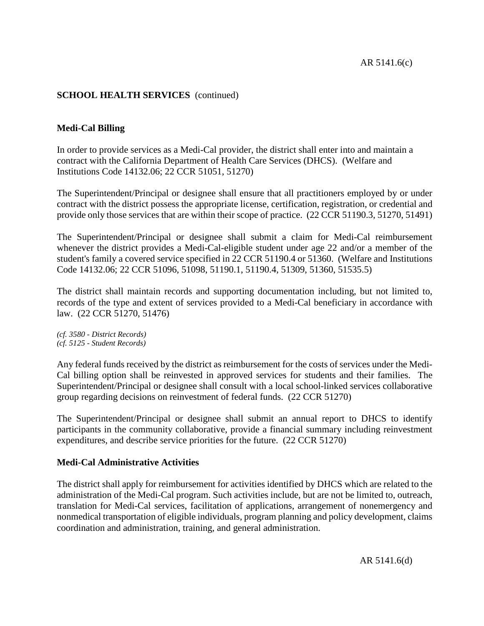# **Medi-Cal Billing**

In order to provide services as a Medi-Cal provider, the district shall enter into and maintain a contract with the California Department of Health Care Services (DHCS). (Welfare and Institutions Code 14132.06; 22 CCR 51051, 51270)

The Superintendent/Principal or designee shall ensure that all practitioners employed by or under contract with the district possess the appropriate license, certification, registration, or credential and provide only those services that are within their scope of practice. (22 CCR 51190.3, 51270, 51491)

The Superintendent/Principal or designee shall submit a claim for Medi-Cal reimbursement whenever the district provides a Medi-Cal-eligible student under age 22 and/or a member of the student's family a covered service specified in 22 CCR 51190.4 or 51360. (Welfare and Institutions Code 14132.06; 22 CCR 51096, 51098, 51190.1, 51190.4, 51309, 51360, 51535.5)

The district shall maintain records and supporting documentation including, but not limited to, records of the type and extent of services provided to a Medi-Cal beneficiary in accordance with law. (22 CCR 51270, 51476)

*(cf. 3580 - District Records) (cf. 5125 - Student Records)*

Any federal funds received by the district as reimbursement for the costs of services under the Medi-Cal billing option shall be reinvested in approved services for students and their families. The Superintendent/Principal or designee shall consult with a local school-linked services collaborative group regarding decisions on reinvestment of federal funds. (22 CCR 51270)

The Superintendent/Principal or designee shall submit an annual report to DHCS to identify participants in the community collaborative, provide a financial summary including reinvestment expenditures, and describe service priorities for the future. (22 CCR 51270)

# **Medi-Cal Administrative Activities**

The district shall apply for reimbursement for activities identified by DHCS which are related to the administration of the Medi-Cal program. Such activities include, but are not be limited to, outreach, translation for Medi-Cal services, facilitation of applications, arrangement of nonemergency and nonmedical transportation of eligible individuals, program planning and policy development, claims coordination and administration, training, and general administration.